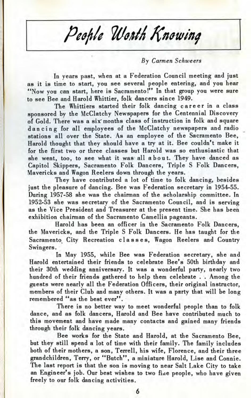People Worth Knowing

## *By Carmen Schweers*

In years past, when at a Federation Council meeting and just as it is time to start, you see several people entering, and you hear "Now you can start, here is Sacramento!" In that group you were sure to see Bee and Harold Whittier, folk dancers since 1949.

The Whittiers started their folk dancing career in a class sponsored by the McClatchy Newspapers for the Centennial Discovery of Gold. There was a six" months class of instruction in folk and square dancin g for all employees of the McClatchy newspapers and radio stations all over the State. As an employee of the Sacramento Bee, Harold thought that they should have a try at it. Bee couldn't make it for the first two or three classes but Harold was so enthusiastic that she went, too, to see what it was all about. They have danced as Capitol Skippers, Sacramento Folk Dancers, Triple S Folk Dancers, Mavericks and Wagon Reelers down through the years.

They have contributed a lot of time to folk dancing, besides just the pleasure of dancing. Bee was Federation secretary in 1954-55. During 1957-58 she was the chairman of the scholarship committee. In 1952-53 she was secretary of the Sacramento Council, and is serving as the Vice President and Treasurer at the present time. She has been exhibition chairman of the Sacramento Camellia pageants.

Harold has been an officer in the Sacramento Folk Dancers, the Mavericks, and the Triple S Folk Dancers. He has taught for the Sacramento City Recreation classes, Wagon Reelers and Country Swingers.

In May 1955, while Bee was Federation secretary, she and Harold entertained their friends to celebrate Bee's 50th birthday and their 30th wedding anniversary. It was a wonderful party, nearly two hundred of their friends gathered to help them celebrate . . Among the guests were nearly all the Federation Officers, their original instructor, members of their Club and many others. It was a party that will be long remembered "as the best ever".

There is no better way to meet wonderful people than to folk dance, and as folk dancers, Harold and Bee have contributed much to this movement and have made many contacts and gained many friends through their folk dancing years.

Bee works for the State and Harold, at the Sacramento Bee, but they still spend a lot of time with their family. The family includes both of their mothers, a son, Terrell, his wife, Florence, and their three grandchildren, Terry, or "Butch", a miniature Harold, Lise and Connie. The last report is that the son is moving to near Salt Lake City to take an Engineer's job. Our best wishes to two fiae people, who have given freely to our folk dancing activities.